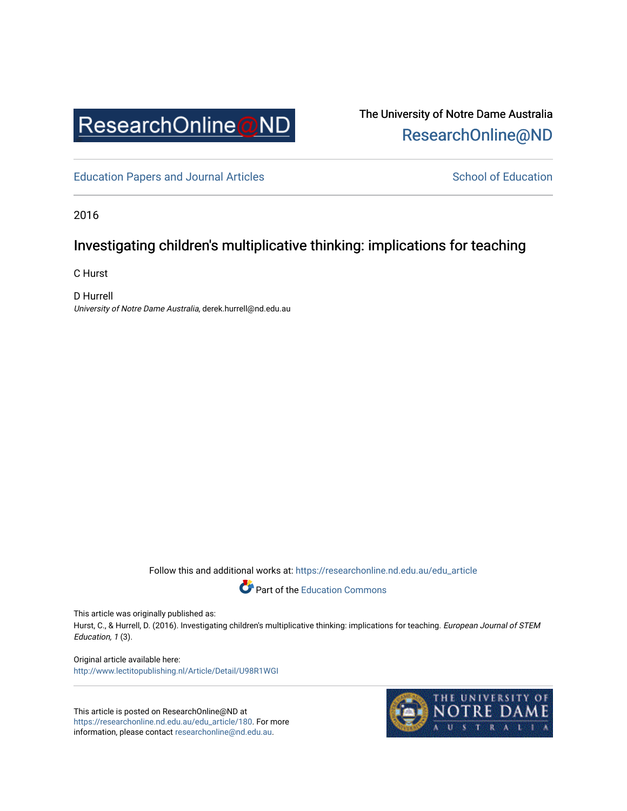

The University of Notre Dame Australia [ResearchOnline@ND](https://researchonline.nd.edu.au/) 

[Education Papers and Journal Articles](https://researchonline.nd.edu.au/edu_article) [School of Education](https://researchonline.nd.edu.au/edu) School of Education

2016

# Investigating children's multiplicative thinking: implications for teaching

C Hurst

D Hurrell University of Notre Dame Australia, derek.hurrell@nd.edu.au

Follow this and additional works at: [https://researchonline.nd.edu.au/edu\\_article](https://researchonline.nd.edu.au/edu_article?utm_source=researchonline.nd.edu.au%2Fedu_article%2F180&utm_medium=PDF&utm_campaign=PDFCoverPages)



This article was originally published as:

Hurst, C., & Hurrell, D. (2016). Investigating children's multiplicative thinking: implications for teaching. European Journal of STEM Education, 1 (3).

Original article available here: <http://www.lectitopublishing.nl/Article/Detail/U98R1WGI>

This article is posted on ResearchOnline@ND at [https://researchonline.nd.edu.au/edu\\_article/180](https://researchonline.nd.edu.au/edu_article/180). For more information, please contact [researchonline@nd.edu.au.](mailto:researchonline@nd.edu.au)

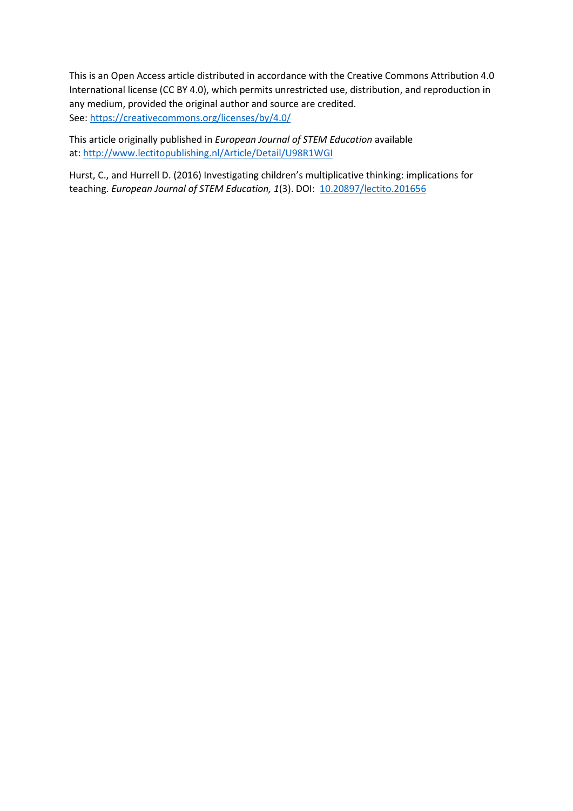This is an Open Access article distributed in accordance with the Creative Commons Attribution 4.0 International license (CC BY 4.0), which permits unrestricted use, distribution, and reproduction in any medium, provided the original author and source are credited. See[: https://creativecommons.org/licenses/by/4.0/](https://creativecommons.org/licenses/by/4.0/) 

This article originally published in *European Journal of STEM Education* available at:<http://www.lectitopublishing.nl/Article/Detail/U98R1WGI>

Hurst, C., and Hurrell D. (2016) Investigating children's multiplicative thinking: implications for teaching. *European Journal of STEM Education, 1*(3). DOI: [10.20897/lectito.201656](http://dx.doi.org/10.20897/lectito.201656)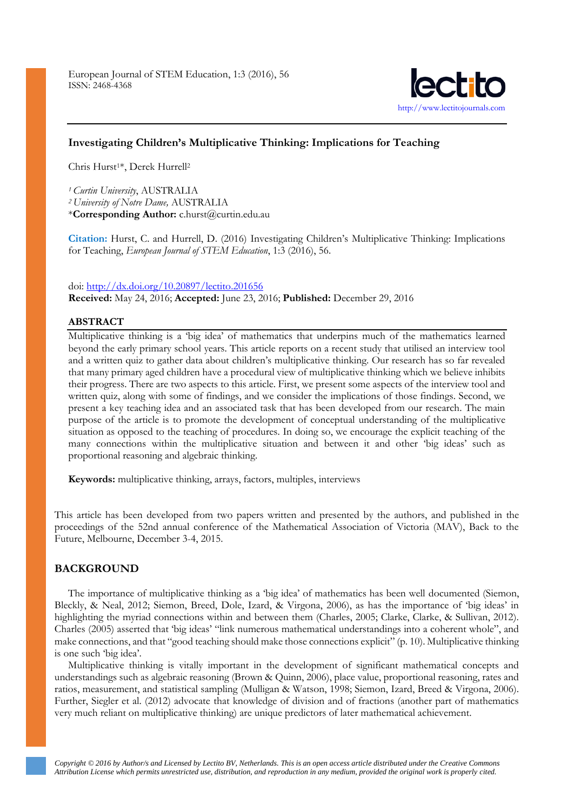

## **Investigating Children's Multiplicative Thinking: Implications for Teaching**

Chris Hurst<sup>1\*</sup>, Derek Hurrell<sup>2</sup>

*<sup>1</sup> Curtin University*, AUSTRALIA *<sup>2</sup> University of Notre Dame,* AUSTRALIA \***Corresponding Author:** c.hurst@curtin.edu.au

**Citation:** Hurst, C. and Hurrell, D. (2016) Investigating Children's Multiplicative Thinking: Implications for Teaching, *European Journal of STEM Education*, 1:3 (2016), 56.

### doi[: http://dx.doi.org/10.20897/lectito.201656](http://dx.doi.org/10.20897/lectito.201656)

**Received:** May 24, 2016; **Accepted:** June 23, 2016; **Published:** December 29, 2016

### **ABSTRACT**

Multiplicative thinking is a 'big idea' of mathematics that underpins much of the mathematics learned beyond the early primary school years. This article reports on a recent study that utilised an interview tool and a written quiz to gather data about children's multiplicative thinking. Our research has so far revealed that many primary aged children have a procedural view of multiplicative thinking which we believe inhibits their progress. There are two aspects to this article. First, we present some aspects of the interview tool and written quiz, along with some of findings, and we consider the implications of those findings. Second, we present a key teaching idea and an associated task that has been developed from our research. The main purpose of the article is to promote the development of conceptual understanding of the multiplicative situation as opposed to the teaching of procedures. In doing so, we encourage the explicit teaching of the many connections within the multiplicative situation and between it and other 'big ideas' such as proportional reasoning and algebraic thinking.

**Keywords:** multiplicative thinking, arrays, factors, multiples, interviews

This article has been developed from two papers written and presented by the authors, and published in the proceedings of the 52nd annual conference of the Mathematical Association of Victoria (MAV), Back to the Future, Melbourne, December 3-4, 2015.

### **BACKGROUND**

The importance of multiplicative thinking as a 'big idea' of mathematics has been well documented (Siemon, Bleckly, & Neal, 2012; Siemon, Breed, Dole, Izard, & Virgona, 2006), as has the importance of 'big ideas' in highlighting the myriad connections within and between them (Charles, 2005; Clarke, Clarke, & Sullivan, 2012). Charles (2005) asserted that 'big ideas' "link numerous mathematical understandings into a coherent whole", and make connections, and that "good teaching should make those connections explicit" (p. 10). Multiplicative thinking is one such 'big idea'.

Multiplicative thinking is vitally important in the development of significant mathematical concepts and understandings such as algebraic reasoning (Brown & Quinn, 2006), place value, proportional reasoning, rates and ratios, measurement, and statistical sampling (Mulligan & Watson, 1998; Siemon, Izard, Breed & Virgona, 2006). Further, Siegler et al. (2012) advocate that knowledge of division and of fractions (another part of mathematics very much reliant on multiplicative thinking) are unique predictors of later mathematical achievement.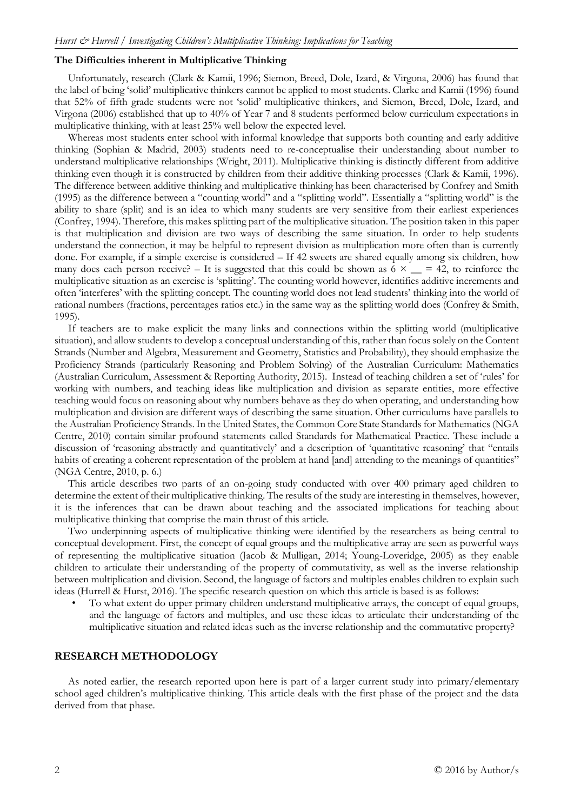### **The Difficulties inherent in Multiplicative Thinking**

Unfortunately, research (Clark & Kamii, 1996; Siemon, Breed, Dole, Izard, & Virgona, 2006) has found that the label of being 'solid' multiplicative thinkers cannot be applied to most students. Clarke and Kamii (1996) found that 52% of fifth grade students were not 'solid' multiplicative thinkers, and Siemon, Breed, Dole, Izard, and Virgona (2006) established that up to 40% of Year 7 and 8 students performed below curriculum expectations in multiplicative thinking, with at least 25% well below the expected level.

Whereas most students enter school with informal knowledge that supports both counting and early additive thinking (Sophian & Madrid, 2003) students need to re-conceptualise their understanding about number to understand multiplicative relationships (Wright, 2011). Multiplicative thinking is distinctly different from additive thinking even though it is constructed by children from their additive thinking processes (Clark & Kamii, 1996). The difference between additive thinking and multiplicative thinking has been characterised by Confrey and Smith (1995) as the difference between a "counting world" and a "splitting world". Essentially a "splitting world" is the ability to share (split) and is an idea to which many students are very sensitive from their earliest experiences (Confrey, 1994). Therefore, this makes splitting part of the multiplicative situation. The position taken in this paper is that multiplication and division are two ways of describing the same situation. In order to help students understand the connection, it may be helpful to represent division as multiplication more often than is currently done. For example, if a simple exercise is considered – If 42 sweets are shared equally among six children, how many does each person receive? – It is suggested that this could be shown as  $6 \times \_ = 42$ , to reinforce the multiplicative situation as an exercise is 'splitting'. The counting world however, identifies additive increments and often 'interferes' with the splitting concept. The counting world does not lead students' thinking into the world of rational numbers (fractions, percentages ratios etc.) in the same way as the splitting world does (Confrey & Smith, 1995).

If teachers are to make explicit the many links and connections within the splitting world (multiplicative situation), and allow students to develop a conceptual understanding of this, rather than focus solely on the Content Strands (Number and Algebra, Measurement and Geometry, Statistics and Probability), they should emphasize the Proficiency Strands (particularly Reasoning and Problem Solving) of the Australian Curriculum: Mathematics (Australian Curriculum, Assessment & Reporting Authority, 2015). Instead of teaching children a set of 'rules' for working with numbers, and teaching ideas like multiplication and division as separate entities, more effective teaching would focus on reasoning about why numbers behave as they do when operating, and understanding how multiplication and division are different ways of describing the same situation. Other curriculums have parallels to the Australian Proficiency Strands. In the United States, the Common Core State Standards for Mathematics (NGA Centre, 2010) contain similar profound statements called Standards for Mathematical Practice. These include a discussion of 'reasoning abstractly and quantitatively' and a description of 'quantitative reasoning' that "entails habits of creating a coherent representation of the problem at hand [and] attending to the meanings of quantities" (NGA Centre, 2010, p. 6.)

This article describes two parts of an on-going study conducted with over 400 primary aged children to determine the extent of their multiplicative thinking. The results of the study are interesting in themselves, however, it is the inferences that can be drawn about teaching and the associated implications for teaching about multiplicative thinking that comprise the main thrust of this article.

Two underpinning aspects of multiplicative thinking were identified by the researchers as being central to conceptual development. First, the concept of equal groups and the multiplicative array are seen as powerful ways of representing the multiplicative situation (Jacob & Mulligan, 2014; Young-Loveridge, 2005) as they enable children to articulate their understanding of the property of commutativity, as well as the inverse relationship between multiplication and division. Second, the language of factors and multiples enables children to explain such ideas (Hurrell & Hurst, 2016). The specific research question on which this article is based is as follows:

• To what extent do upper primary children understand multiplicative arrays, the concept of equal groups, and the language of factors and multiples, and use these ideas to articulate their understanding of the multiplicative situation and related ideas such as the inverse relationship and the commutative property?

### **RESEARCH METHODOLOGY**

As noted earlier, the research reported upon here is part of a larger current study into primary/elementary school aged children's multiplicative thinking. This article deals with the first phase of the project and the data derived from that phase.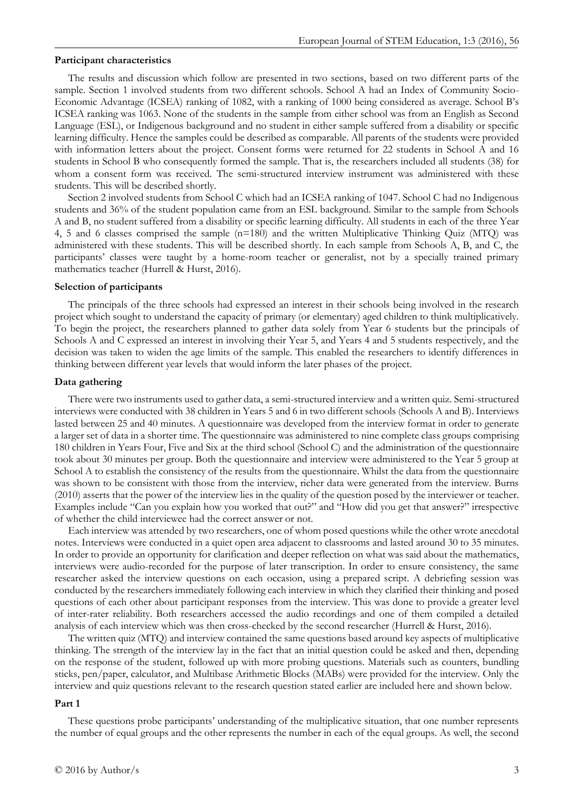#### **Participant characteristics**

The results and discussion which follow are presented in two sections, based on two different parts of the sample. Section 1 involved students from two different schools. School A had an Index of Community Socio-Economic Advantage (ICSEA) ranking of 1082, with a ranking of 1000 being considered as average. School B's ICSEA ranking was 1063. None of the students in the sample from either school was from an English as Second Language (ESL), or Indigenous background and no student in either sample suffered from a disability or specific learning difficulty. Hence the samples could be described as comparable. All parents of the students were provided with information letters about the project. Consent forms were returned for 22 students in School A and 16 students in School B who consequently formed the sample. That is, the researchers included all students (38) for whom a consent form was received. The semi-structured interview instrument was administered with these students. This will be described shortly.

Section 2 involved students from School C which had an ICSEA ranking of 1047. School C had no Indigenous students and 36% of the student population came from an ESL background. Similar to the sample from Schools A and B, no student suffered from a disability or specific learning difficulty. All students in each of the three Year 4, 5 and 6 classes comprised the sample (n=180) and the written Multiplicative Thinking Quiz (MTQ) was administered with these students. This will be described shortly. In each sample from Schools A, B, and C, the participants' classes were taught by a home-room teacher or generalist, not by a specially trained primary mathematics teacher (Hurrell & Hurst, 2016).

#### **Selection of participants**

The principals of the three schools had expressed an interest in their schools being involved in the research project which sought to understand the capacity of primary (or elementary) aged children to think multiplicatively. To begin the project, the researchers planned to gather data solely from Year 6 students but the principals of Schools A and C expressed an interest in involving their Year 5, and Years 4 and 5 students respectively, and the decision was taken to widen the age limits of the sample. This enabled the researchers to identify differences in thinking between different year levels that would inform the later phases of the project.

#### **Data gathering**

There were two instruments used to gather data, a semi-structured interview and a written quiz. Semi-structured interviews were conducted with 38 children in Years 5 and 6 in two different schools (Schools A and B). Interviews lasted between 25 and 40 minutes. A questionnaire was developed from the interview format in order to generate a larger set of data in a shorter time. The questionnaire was administered to nine complete class groups comprising 180 children in Years Four, Five and Six at the third school (School C) and the administration of the questionnaire took about 30 minutes per group. Both the questionnaire and interview were administered to the Year 5 group at School A to establish the consistency of the results from the questionnaire. Whilst the data from the questionnaire was shown to be consistent with those from the interview, richer data were generated from the interview. Burns (2010) asserts that the power of the interview lies in the quality of the question posed by the interviewer or teacher. Examples include "Can you explain how you worked that out?" and "How did you get that answer?" irrespective of whether the child interviewee had the correct answer or not.

Each interview was attended by two researchers, one of whom posed questions while the other wrote anecdotal notes. Interviews were conducted in a quiet open area adjacent to classrooms and lasted around 30 to 35 minutes. In order to provide an opportunity for clarification and deeper reflection on what was said about the mathematics, interviews were audio-recorded for the purpose of later transcription. In order to ensure consistency, the same researcher asked the interview questions on each occasion, using a prepared script. A debriefing session was conducted by the researchers immediately following each interview in which they clarified their thinking and posed questions of each other about participant responses from the interview. This was done to provide a greater level of inter-rater reliability. Both researchers accessed the audio recordings and one of them compiled a detailed analysis of each interview which was then cross-checked by the second researcher (Hurrell & Hurst, 2016).

The written quiz (MTQ) and interview contained the same questions based around key aspects of multiplicative thinking. The strength of the interview lay in the fact that an initial question could be asked and then, depending on the response of the student, followed up with more probing questions. Materials such as counters, bundling sticks, pen/paper, calculator, and Multibase Arithmetic Blocks (MABs) were provided for the interview. Only the interview and quiz questions relevant to the research question stated earlier are included here and shown below.

### **Part 1**

These questions probe participants' understanding of the multiplicative situation, that one number represents the number of equal groups and the other represents the number in each of the equal groups. As well, the second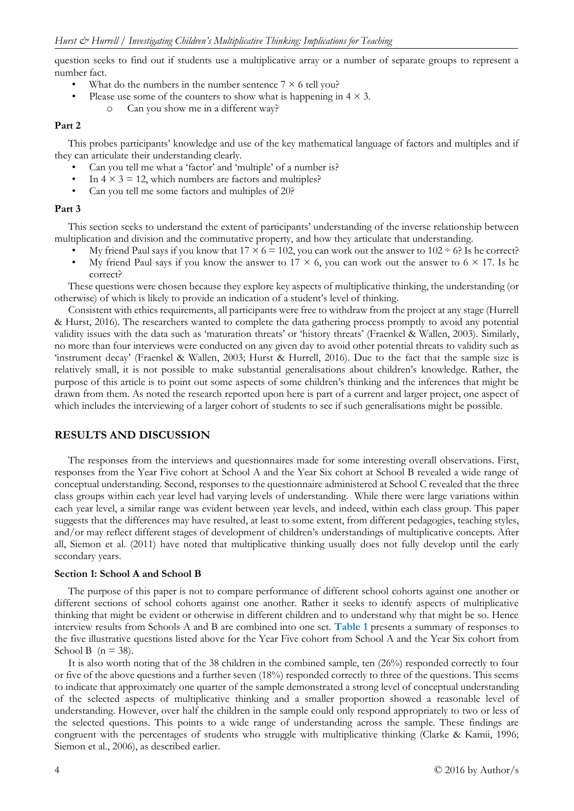question seeks to find out if students use a multiplicative array or a number of separate groups to represent a number fact.

- What do the numbers in the number sentence  $7 \times 6$  tell you?
	- Please use some of the counters to show what is happening in  $4 \times 3$ .
		- o Can you show me in a different way?

### **Part 2**

This probes participants' knowledge and use of the key mathematical language of factors and multiples and if they can articulate their understanding clearly.

- Can you tell me what a 'factor' and 'multiple' of a number is?
- In  $4 \times 3 = 12$ , which numbers are factors and multiples?
- Can you tell me some factors and multiples of 20?

### **Part 3**

This section seeks to understand the extent of participants' understanding of the inverse relationship between multiplication and division and the commutative property, and how they articulate that understanding.

- My friend Paul says if you know that  $17 \times 6 = 102$ , you can work out the answer to  $102 \div 6$ ? Is he correct?
- My friend Paul says if you know the answer to  $17 \times 6$ , you can work out the answer to  $6 \times 17$ . Is he correct?

These questions were chosen because they explore key aspects of multiplicative thinking, the understanding (or otherwise) of which is likely to provide an indication of a student's level of thinking.

Consistent with ethics requirements, all participants were free to withdraw from the project at any stage (Hurrell & Hurst, 2016). The researchers wanted to complete the data gathering process promptly to avoid any potential validity issues with the data such as 'maturation threats' or 'history threats' (Fraenkel & Wallen, 2003). Similarly, no more than four interviews were conducted on any given day to avoid other potential threats to validity such as 'instrument decay' (Fraenkel & Wallen, 2003; Hurst & Hurrell, 2016). Due to the fact that the sample size is relatively small, it is not possible to make substantial generalisations about children's knowledge. Rather, the purpose of this article is to point out some aspects of some children's thinking and the inferences that might be drawn from them. As noted the research reported upon here is part of a current and larger project, one aspect of which includes the interviewing of a larger cohort of students to see if such generalisations might be possible.

### **RESULTS AND DISCUSSION**

The responses from the interviews and questionnaires made for some interesting overall observations. First, responses from the Year Five cohort at School A and the Year Six cohort at School B revealed a wide range of conceptual understanding. Second, responses to the questionnaire administered at School C revealed that the three class groups within each year level had varying levels of understanding. While there were large variations within each year level, a similar range was evident between year levels, and indeed, within each class group. This paper suggests that the differences may have resulted, at least to some extent, from different pedagogies, teaching styles, and/or may reflect different stages of development of children's understandings of multiplicative concepts. After all, Siemon et al. (2011) have noted that multiplicative thinking usually does not fully develop until the early secondary years.

#### **Section 1: School A and School B**

The purpose of this paper is not to compare performance of different school cohorts against one another or different sections of school cohorts against one another. Rather it seeks to identify aspects of multiplicative thinking that might be evident or otherwise in different children and to understand why that might be so. Hence interview results from Schools A and B are combined into one set. **Table 1** presents a summary of responses to the five illustrative questions listed above for the Year Five cohort from School A and the Year Six cohort from School B ( $n = 38$ ).

It is also worth noting that of the 38 children in the combined sample, ten (26%) responded correctly to four or five of the above questions and a further seven (18%) responded correctly to three of the questions. This seems to indicate that approximately one quarter of the sample demonstrated a strong level of conceptual understanding of the selected aspects of multiplicative thinking and a smaller proportion showed a reasonable level of understanding. However, over half the children in the sample could only respond appropriately to two or less of the selected questions. This points to a wide range of understanding across the sample. These findings are congruent with the percentages of students who struggle with multiplicative thinking (Clarke & Kamii, 1996; Siemon et al., 2006), as described earlier.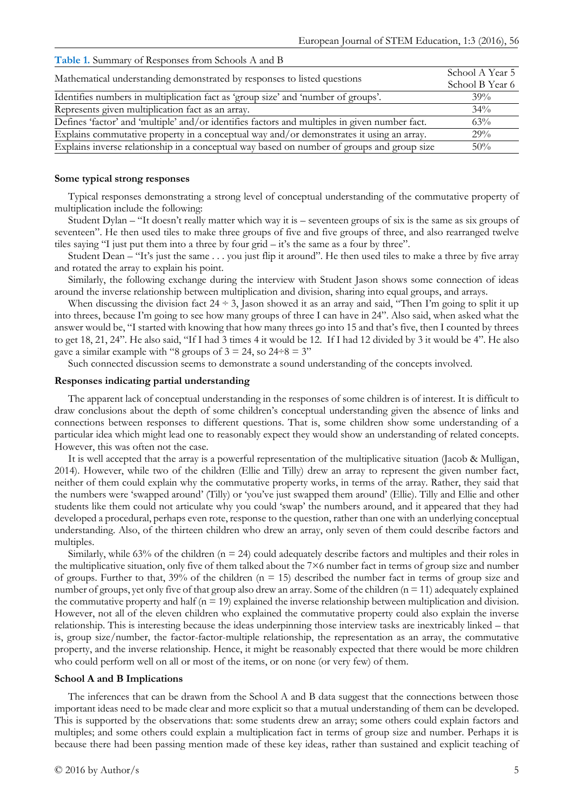| $\sim$ wore to commute the recopolitic result behoof in and $\sim$                            |                                    |
|-----------------------------------------------------------------------------------------------|------------------------------------|
| Mathematical understanding demonstrated by responses to listed questions                      | School A Year 5<br>School B Year 6 |
| Identifies numbers in multiplication fact as 'group size' and 'number of groups'.             | 39%                                |
| Represents given multiplication fact as an array.                                             | $34\%$                             |
| Defines 'factor' and 'multiple' and/or identifies factors and multiples in given number fact. | 63%                                |
| Explains commutative property in a conceptual way and/or demonstrates it using an array.      | 29%                                |
| Explains inverse relationship in a conceptual way based on number of groups and group size    | $50\%$                             |

### **Table 1.** Summary of Responses from Schools A and B

### **Some typical strong responses**

Typical responses demonstrating a strong level of conceptual understanding of the commutative property of multiplication include the following:

Student Dylan – "It doesn't really matter which way it is – seventeen groups of six is the same as six groups of seventeen". He then used tiles to make three groups of five and five groups of three, and also rearranged twelve tiles saying "I just put them into a three by four grid – it's the same as a four by three".

Student Dean – "It's just the same . . . you just flip it around". He then used tiles to make a three by five array and rotated the array to explain his point.

Similarly, the following exchange during the interview with Student Jason shows some connection of ideas around the inverse relationship between multiplication and division, sharing into equal groups, and arrays.

When discussing the division fact  $24 \div 3$ , Jason showed it as an array and said, "Then I'm going to split it up into threes, because I'm going to see how many groups of three I can have in 24". Also said, when asked what the answer would be, "I started with knowing that how many threes go into 15 and that's five, then I counted by threes to get 18, 21, 24". He also said, "If I had 3 times 4 it would be 12. If I had 12 divided by 3 it would be 4". He also gave a similar example with "8 groups of  $3 = 24$ , so  $24\div 8 = 3$ "

Such connected discussion seems to demonstrate a sound understanding of the concepts involved.

### **Responses indicating partial understanding**

The apparent lack of conceptual understanding in the responses of some children is of interest. It is difficult to draw conclusions about the depth of some children's conceptual understanding given the absence of links and connections between responses to different questions. That is, some children show some understanding of a particular idea which might lead one to reasonably expect they would show an understanding of related concepts. However, this was often not the case.

It is well accepted that the array is a powerful representation of the multiplicative situation (Jacob & Mulligan, 2014). However, while two of the children (Ellie and Tilly) drew an array to represent the given number fact, neither of them could explain why the commutative property works, in terms of the array. Rather, they said that the numbers were 'swapped around' (Tilly) or 'you've just swapped them around' (Ellie). Tilly and Ellie and other students like them could not articulate why you could 'swap' the numbers around, and it appeared that they had developed a procedural, perhaps even rote, response to the question, rather than one with an underlying conceptual understanding. Also, of the thirteen children who drew an array, only seven of them could describe factors and multiples.

Similarly, while 63% of the children  $(n = 24)$  could adequately describe factors and multiples and their roles in the multiplicative situation, only five of them talked about the 7×6 number fact in terms of group size and number of groups. Further to that,  $39\%$  of the children (n = 15) described the number fact in terms of group size and number of groups, yet only five of that group also drew an array. Some of the children  $(n = 11)$  adequately explained the commutative property and half  $(n = 19)$  explained the inverse relationship between multiplication and division. However, not all of the eleven children who explained the commutative property could also explain the inverse relationship. This is interesting because the ideas underpinning those interview tasks are inextricably linked – that is, group size/number, the factor-factor-multiple relationship, the representation as an array, the commutative property, and the inverse relationship. Hence, it might be reasonably expected that there would be more children who could perform well on all or most of the items, or on none (or very few) of them.

### **School A and B Implications**

The inferences that can be drawn from the School A and B data suggest that the connections between those important ideas need to be made clear and more explicit so that a mutual understanding of them can be developed. This is supported by the observations that: some students drew an array; some others could explain factors and multiples; and some others could explain a multiplication fact in terms of group size and number. Perhaps it is because there had been passing mention made of these key ideas, rather than sustained and explicit teaching of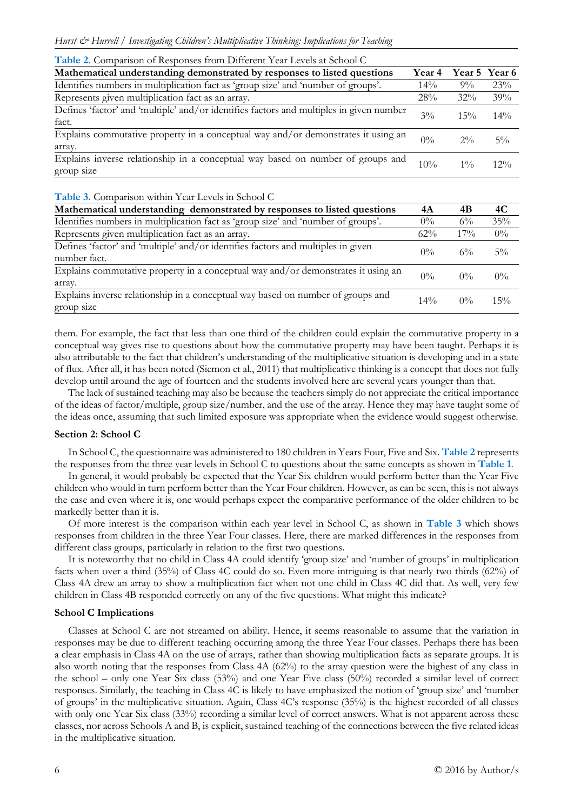|  |  |  |  |  |  |  |  | <b>Table 2.</b> Comparison of Responses from Different Year Levels at School C |  |  |  |  |  |
|--|--|--|--|--|--|--|--|--------------------------------------------------------------------------------|--|--|--|--|--|
|--|--|--|--|--|--|--|--|--------------------------------------------------------------------------------|--|--|--|--|--|

| Mathematical understanding demonstrated by responses to listed questions                         | Year 4 |        | Year 5 Year 6 |
|--------------------------------------------------------------------------------------------------|--------|--------|---------------|
| Identifies numbers in multiplication fact as 'group size' and 'number of groups'.                | $14\%$ | $9\%$  | 23%           |
| Represents given multiplication fact as an array.                                                | 28%    | $32\%$ | 39%           |
| Defines 'factor' and 'multiple' and/or identifies factors and multiples in given number<br>fact. | $3\%$  | 15%    | $14\%$        |
| Explains commutative property in a conceptual way and/or demonstrates it using an<br>array.      | $0\%$  | $2\%$  | $5\%$         |
| Explains inverse relationship in a conceptual way based on number of groups and<br>group size    | 10%    | $1\%$  | $12\%$        |

### **Table 3.** Comparison within Year Levels in School C

| Mathematical understanding demonstrated by responses to listed questions                         | 4Α     | 4B    | 4C    |
|--------------------------------------------------------------------------------------------------|--------|-------|-------|
| Identifies numbers in multiplication fact as 'group size' and 'number of groups'.                | $0\%$  | $6\%$ | 35%   |
| Represents given multiplication fact as an array.                                                | 62%    | 17%   | $0\%$ |
| Defines 'factor' and 'multiple' and/or identifies factors and multiples in given<br>number fact. | $0\%$  | $6\%$ | $5\%$ |
| Explains commutative property in a conceptual way and/or demonstrates it using an<br>array.      | $0\%$  | $0\%$ | $0\%$ |
| Explains inverse relationship in a conceptual way based on number of groups and<br>group size    | $14\%$ | $0\%$ | 15%   |

them. For example, the fact that less than one third of the children could explain the commutative property in a conceptual way gives rise to questions about how the commutative property may have been taught. Perhaps it is also attributable to the fact that children's understanding of the multiplicative situation is developing and in a state of flux. After all, it has been noted (Siemon et al., 2011) that multiplicative thinking is a concept that does not fully develop until around the age of fourteen and the students involved here are several years younger than that.

The lack of sustained teaching may also be because the teachers simply do not appreciate the critical importance of the ideas of factor/multiple, group size/number, and the use of the array. Hence they may have taught some of the ideas once, assuming that such limited exposure was appropriate when the evidence would suggest otherwise.

### **Section 2: School C**

In School C, the questionnaire was administered to 180 children in Years Four, Five and Six. **Table 2** represents the responses from the three year levels in School C to questions about the same concepts as shown in **Table 1**.

In general, it would probably be expected that the Year Six children would perform better than the Year Five children who would in turn perform better than the Year Four children. However, as can be seen, this is not always the case and even where it is, one would perhaps expect the comparative performance of the older children to be markedly better than it is.

Of more interest is the comparison within each year level in School C, as shown in **Table 3** which shows responses from children in the three Year Four classes. Here, there are marked differences in the responses from different class groups, particularly in relation to the first two questions.

It is noteworthy that no child in Class 4A could identify 'group size' and 'number of groups' in multiplication facts when over a third (35%) of Class 4C could do so. Even more intriguing is that nearly two thirds (62%) of Class 4A drew an array to show a multiplication fact when not one child in Class 4C did that. As well, very few children in Class 4B responded correctly on any of the five questions. What might this indicate?

#### **School C Implications**

Classes at School C are not streamed on ability. Hence, it seems reasonable to assume that the variation in responses may be due to different teaching occurring among the three Year Four classes. Perhaps there has been a clear emphasis in Class 4A on the use of arrays, rather than showing multiplication facts as separate groups. It is also worth noting that the responses from Class 4A (62%) to the array question were the highest of any class in the school – only one Year Six class (53%) and one Year Five class (50%) recorded a similar level of correct responses. Similarly, the teaching in Class 4C is likely to have emphasized the notion of 'group size' and 'number of groups' in the multiplicative situation. Again, Class 4C's response (35%) is the highest recorded of all classes with only one Year Six class (33%) recording a similar level of correct answers. What is not apparent across these classes, nor across Schools A and B, is explicit, sustained teaching of the connections between the five related ideas in the multiplicative situation.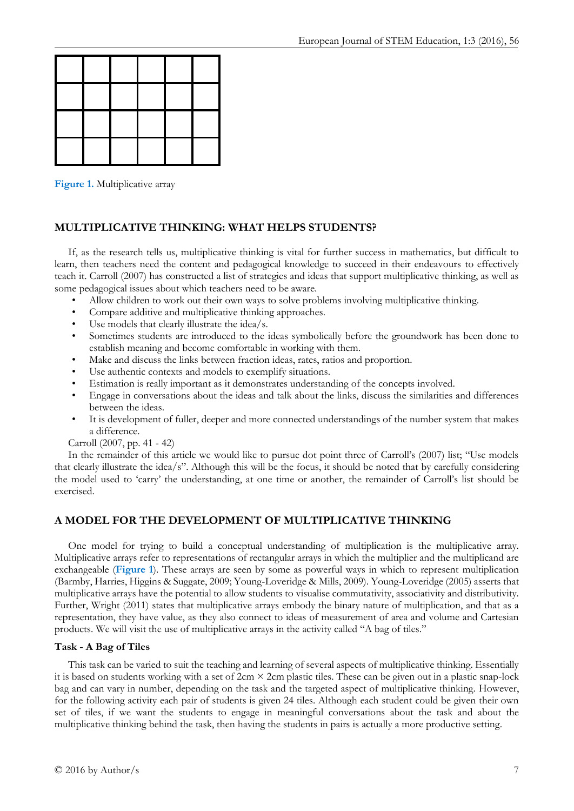**Figure 1.** Multiplicative array

# **MULTIPLICATIVE THINKING: WHAT HELPS STUDENTS?**

If, as the research tells us, multiplicative thinking is vital for further success in mathematics, but difficult to learn, then teachers need the content and pedagogical knowledge to succeed in their endeavours to effectively teach it. Carroll (2007) has constructed a list of strategies and ideas that support multiplicative thinking, as well as some pedagogical issues about which teachers need to be aware.

- Allow children to work out their own ways to solve problems involving multiplicative thinking.
- Compare additive and multiplicative thinking approaches.
- Use models that clearly illustrate the idea/s.
- Sometimes students are introduced to the ideas symbolically before the groundwork has been done to establish meaning and become comfortable in working with them.
- Make and discuss the links between fraction ideas, rates, ratios and proportion.
- Use authentic contexts and models to exemplify situations.
- Estimation is really important as it demonstrates understanding of the concepts involved.
- Engage in conversations about the ideas and talk about the links, discuss the similarities and differences between the ideas.
- It is development of fuller, deeper and more connected understandings of the number system that makes a difference.

Carroll (2007, pp. 41 - 42)

In the remainder of this article we would like to pursue dot point three of Carroll's (2007) list; "Use models that clearly illustrate the idea/s". Although this will be the focus, it should be noted that by carefully considering the model used to 'carry' the understanding, at one time or another, the remainder of Carroll's list should be exercised.

# **A MODEL FOR THE DEVELOPMENT OF MULTIPLICATIVE THINKING**

One model for trying to build a conceptual understanding of multiplication is the multiplicative array. Multiplicative arrays refer to representations of rectangular arrays in which the multiplier and the multiplicand are exchangeable (**Figure 1**). These arrays are seen by some as powerful ways in which to represent multiplication (Barmby, Harries, Higgins & Suggate, 2009; Young-Loveridge & Mills, 2009). Young-Loveridge (2005) asserts that multiplicative arrays have the potential to allow students to visualise commutativity, associativity and distributivity. Further, Wright (2011) states that multiplicative arrays embody the binary nature of multiplication, and that as a representation, they have value, as they also connect to ideas of measurement of area and volume and Cartesian products. We will visit the use of multiplicative arrays in the activity called "A bag of tiles."

### **Task - A Bag of Tiles**

This task can be varied to suit the teaching and learning of several aspects of multiplicative thinking. Essentially it is based on students working with a set of  $2cm \times 2cm$  plastic tiles. These can be given out in a plastic snap-lock bag and can vary in number, depending on the task and the targeted aspect of multiplicative thinking. However, for the following activity each pair of students is given 24 tiles. Although each student could be given their own set of tiles, if we want the students to engage in meaningful conversations about the task and about the multiplicative thinking behind the task, then having the students in pairs is actually a more productive setting.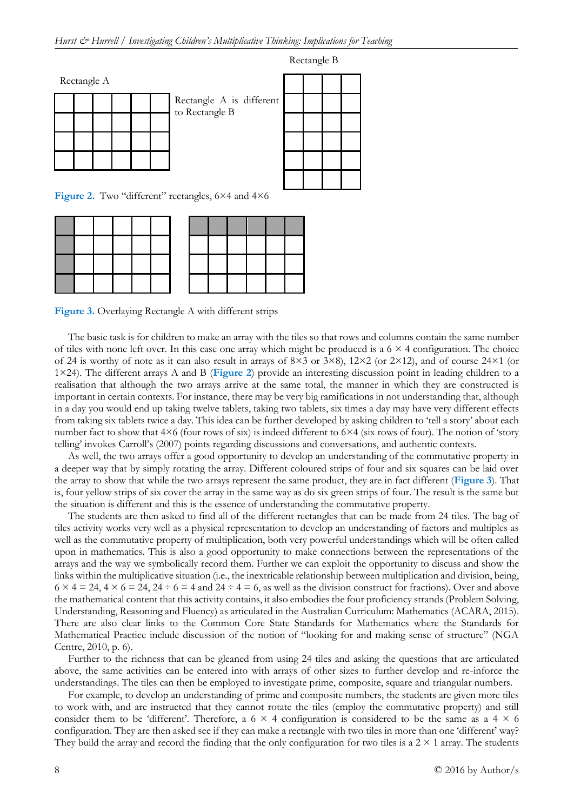Rectangle A

|  |  |  | Rectangle A is<br>to Rectangle B |
|--|--|--|----------------------------------|
|  |  |  |                                  |
|  |  |  |                                  |

ectangle A is different



Rectangle B

Figure 2. Two "different" rectangles, 6×4 and 4×6

Figure 3. Overlaying Rectangle A with different strips

The basic task is for children to make an array with the tiles so that rows and columns contain the same number of tiles with none left over. In this case one array which might be produced is a  $6 \times 4$  configuration. The choice of 24 is worthy of note as it can also result in arrays of  $8\times3$  or  $3\times8$ ),  $12\times2$  (or  $2\times12$ ), and of course  $24\times1$  (or 1×24). The different arrays A and B (**Figure 2**) provide an interesting discussion point in leading children to a realisation that although the two arrays arrive at the same total, the manner in which they are constructed is important in certain contexts. For instance, there may be very big ramifications in not understanding that, although in a day you would end up taking twelve tablets, taking two tablets, six times a day may have very different effects from taking six tablets twice a day. This idea can be further developed by asking children to 'tell a story' about each number fact to show that 4×6 (four rows of six) is indeed different to 6×4 (six rows of four). The notion of 'story telling' invokes Carroll's (2007) points regarding discussions and conversations, and authentic contexts.

As well, the two arrays offer a good opportunity to develop an understanding of the commutative property in a deeper way that by simply rotating the array. Different coloured strips of four and six squares can be laid over the array to show that while the two arrays represent the same product, they are in fact different (**Figure 3**). That is, four yellow strips of six cover the array in the same way as do six green strips of four. The result is the same but the situation is different and this is the essence of understanding the commutative property.

The students are then asked to find all of the different rectangles that can be made from 24 tiles. The bag of tiles activity works very well as a physical representation to develop an understanding of factors and multiples as well as the commutative property of multiplication, both very powerful understandings which will be often called upon in mathematics. This is also a good opportunity to make connections between the representations of the arrays and the way we symbolically record them. Further we can exploit the opportunity to discuss and show the links within the multiplicative situation (i.e., the inextricable relationship between multiplication and division, being,  $6 \times 4 = 24$ ,  $4 \times 6 = 24$ ,  $24 \div 6 = 4$  and  $24 \div 4 = 6$ , as well as the division construct for fractions). Over and above the mathematical content that this activity contains, it also embodies the four proficiency strands (Problem Solving, Understanding, Reasoning and Fluency) as articulated in the Australian Curriculum: Mathematics (ACARA, 2015). There are also clear links to the Common Core State Standards for Mathematics where the Standards for Mathematical Practice include discussion of the notion of "looking for and making sense of structure" (NGA Centre, 2010, p. 6).

Further to the richness that can be gleaned from using 24 tiles and asking the questions that are articulated above, the same activities can be entered into with arrays of other sizes to further develop and re-inforce the understandings. The tiles can then be employed to investigate prime, composite, square and triangular numbers.

For example, to develop an understanding of prime and composite numbers, the students are given more tiles to work with, and are instructed that they cannot rotate the tiles (employ the commutative property) and still consider them to be 'different'. Therefore, a  $6 \times 4$  configuration is considered to be the same as a  $4 \times 6$ configuration. They are then asked see if they can make a rectangle with two tiles in more than one 'different' way? They build the array and record the finding that the only configuration for two tiles is a  $2 \times 1$  array. The students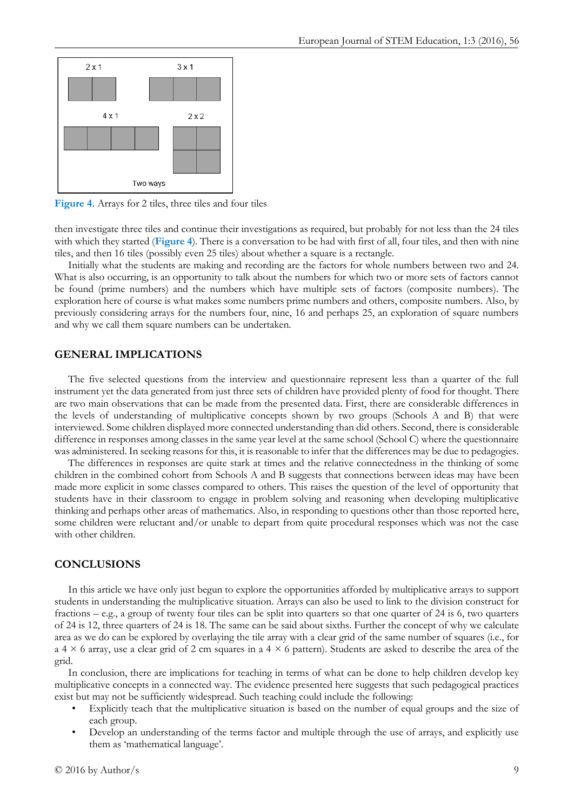

**Figure 4.** Arrays for 2 tiles, three tiles and four tiles

then investigate three tiles and continue their investigations as required, but probably for not less than the 24 tiles with which they started (**Figure 4**). There is a conversation to be had with first of all, four tiles, and then with nine tiles, and then 16 tiles (possibly even 25 tiles) about whether a square is a rectangle.

Initially what the students are making and recording are the factors for whole numbers between two and 24. What is also occurring, is an opportunity to talk about the numbers for which two or more sets of factors cannot be found (prime numbers) and the numbers which have multiple sets of factors (composite numbers). The exploration here of course is what makes some numbers prime numbers and others, composite numbers. Also, by previously considering arrays for the numbers four, nine, 16 and perhaps 25, an exploration of square numbers and why we call them square numbers can be undertaken.

### **GENERAL IMPLICATIONS**

The five selected questions from the interview and questionnaire represent less than a quarter of the full instrument yet the data generated from just three sets of children have provided plenty of food for thought. There are two main observations that can be made from the presented data. First, there are considerable differences in the levels of understanding of multiplicative concepts shown by two groups (Schools A and B) that were interviewed. Some children displayed more connected understanding than did others. Second, there is considerable difference in responses among classes in the same year level at the same school (School C) where the questionnaire was administered. In seeking reasons for this, it is reasonable to infer that the differences may be due to pedagogies.

The differences in responses are quite stark at times and the relative connectedness in the thinking of some children in the combined cohort from Schools A and B suggests that connections between ideas may have been made more explicit in some classes compared to others. This raises the question of the level of opportunity that students have in their classroom to engage in problem solving and reasoning when developing multiplicative thinking and perhaps other areas of mathematics. Also, in responding to questions other than those reported here, some children were reluctant and/or unable to depart from quite procedural responses which was not the case with other children.

### **CONCLUSIONS**

In this article we have only just begun to explore the opportunities afforded by multiplicative arrays to support students in understanding the multiplicative situation. Arrays can also be used to link to the division construct for fractions – e.g., a group of twenty four tiles can be split into quarters so that one quarter of 24 is 6, two quarters of 24 is 12, three quarters of 24 is 18. The same can be said about sixths. Further the concept of why we calculate area as we do can be explored by overlaying the tile array with a clear grid of the same number of squares (i.e., for a 4  $\times$  6 array, use a clear grid of 2 cm squares in a 4  $\times$  6 pattern). Students are asked to describe the area of the grid.

In conclusion, there are implications for teaching in terms of what can be done to help children develop key multiplicative concepts in a connected way. The evidence presented here suggests that such pedagogical practices exist but may not be sufficiently widespread. Such teaching could include the following:

- Explicitly teach that the multiplicative situation is based on the number of equal groups and the size of each group.
- Develop an understanding of the terms factor and multiple through the use of arrays, and explicitly use them as 'mathematical language'.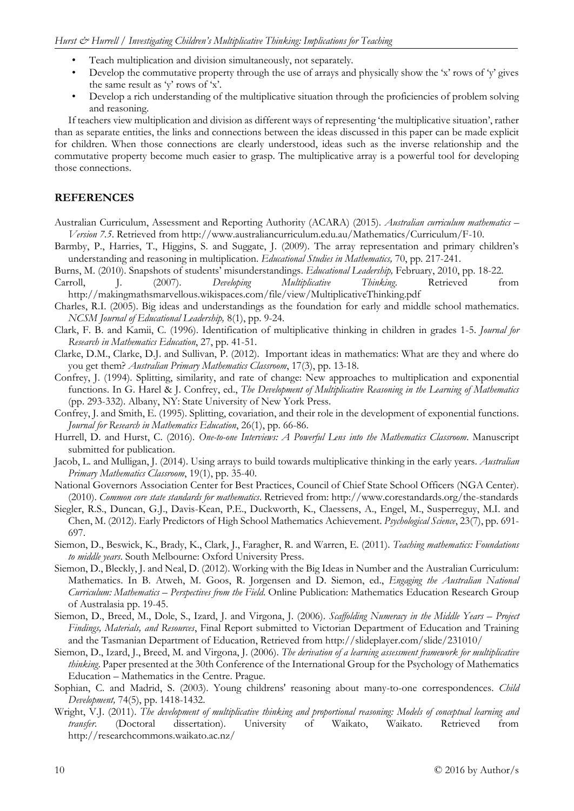- Teach multiplication and division simultaneously, not separately.
- Develop the commutative property through the use of arrays and physically show the 'x' rows of 'y' gives the same result as 'y' rows of 'x'.
- Develop a rich understanding of the multiplicative situation through the proficiencies of problem solving and reasoning.

If teachers view multiplication and division as different ways of representing 'the multiplicative situation', rather than as separate entities, the links and connections between the ideas discussed in this paper can be made explicit for children. When those connections are clearly understood, ideas such as the inverse relationship and the commutative property become much easier to grasp. The multiplicative array is a powerful tool for developing those connections.

### **REFERENCES**

- Australian Curriculum, Assessment and Reporting Authority (ACARA) (2015). *Australian curriculum mathematics – Version 7.5*. Retrieved from http://www.australiancurriculum.edu.au/Mathematics/Curriculum/F-10.
- Barmby, P., Harries, T., Higgins, S. and Suggate, J. (2009). The array representation and primary children's understanding and reasoning in multiplication. *Educational Studies in Mathematics,* 70, pp. 217-241.
- Burns, M. (2010). Snapshots of students' misunderstandings. *Educational Leadership,* February, 2010, pp. 18-22.

Carroll, J. (2007). *Developing Multiplicative Thinking*. Retrieved from http://makingmathsmarvellous.wikispaces.com/file/view/MultiplicativeThinking.pdf

- Charles, R.I. (2005). Big ideas and understandings as the foundation for early and middle school mathematics. *NCSM Journal of Educational Leadership,* 8(1), pp. 9-24.
- Clark, F. B. and Kamii, C. (1996). Identification of multiplicative thinking in children in grades 1-5. *Journal for Research in Mathematics Education*, 27, pp. 41-51.
- Clarke, D.M., Clarke, D.J. and Sullivan, P. (2012). Important ideas in mathematics: What are they and where do you get them? *Australian Primary Mathematics Classroom*, 17(3), pp. 13-18.
- Confrey, J. (1994). Splitting, similarity, and rate of change: New approaches to multiplication and exponential functions. In G. Harel & J. Confrey, ed., *The Development of Multiplicative Reasoning in the Learning of Mathematics* (pp. 293-332). Albany, NY: State University of New York Press.
- Confrey, J. and Smith, E. (1995). Splitting, covariation, and their role in the development of exponential functions. *Journal for Research in Mathematics Education*, 26(1), pp. 66-86.
- Hurrell, D. and Hurst, C. (2016). *One-to-one Interviews: A Powerful Lens into the Mathematics Classroom*. Manuscript submitted for publication.
- Jacob, L. and Mulligan, J. (2014). Using arrays to build towards multiplicative thinking in the early years. *Australian Primary Mathematics Classroom*, 19(1), pp. 35-40.
- National Governors Association Center for Best Practices, Council of Chief State School Officers (NGA Center). (2010). *Common core state standards for mathematics*. Retrieved from: http://www.corestandards.org/the-standards
- Siegler, R.S., Duncan, G.J., Davis-Kean, P.E., Duckworth, K., Claessens, A., Engel, M., Susperreguy, M.I. and Chen, M. (2012). Early Predictors of High School Mathematics Achievement. *Psychological Science*, 23(7), pp. 691- 697.
- Siemon, D., Beswick, K., Brady, K., Clark, J., Faragher, R. and Warren, E. (2011). *Teaching mathematics: Foundations to middle years*. South Melbourne: Oxford University Press.
- Siemon, D., Bleckly, J. and Neal, D. (2012). Working with the Big Ideas in Number and the Australian Curriculum: Mathematics. In B. Atweh, M. Goos, R. Jorgensen and D. Siemon, ed., *Engaging the Australian National Curriculum: Mathematics – Perspectives from the Field*. Online Publication: Mathematics Education Research Group of Australasia pp. 19-45.
- Siemon, D., Breed, M., Dole, S., Izard, J. and Virgona, J. (2006). *Scaffolding Numeracy in the Middle Years – Project Findings, Materials, and Resources*, Final Report submitted to Victorian Department of Education and Training and the Tasmanian Department of Education, Retrieved from http://slideplayer.com/slide/231010/
- Siemon, D., Izard, J., Breed, M. and Virgona, J. (2006). *The derivation of a learning assessment framework for multiplicative thinking*. Paper presented at the 30th Conference of the International Group for the Psychology of Mathematics Education – Mathematics in the Centre. Prague.
- Sophian, C. and Madrid, S. (2003). Young childrens' reasoning about many-to-one correspondences. *Child Development,* 74(5), pp. 1418-1432.
- Wright, V.J. (2011). *The development of multiplicative thinking and proportional reasoning: Models of conceptual learning and transfer*. (Doctoral dissertation). University of Waikato, Waikato. Retrieved from http://researchcommons.waikato.ac.nz/